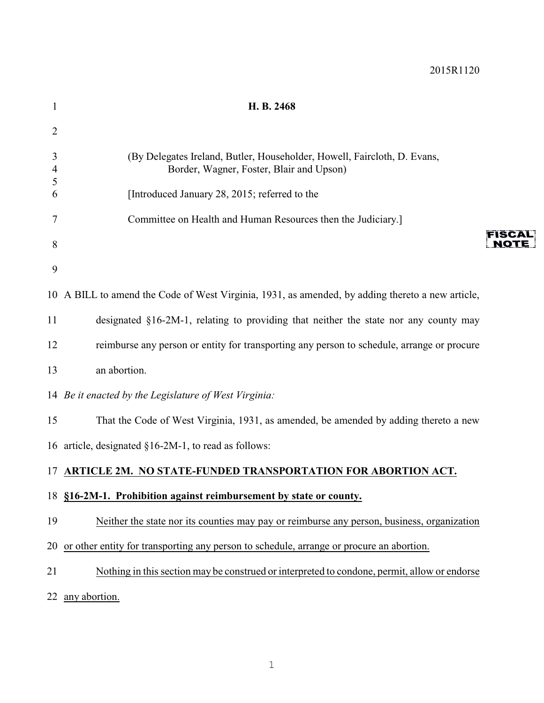| $\mathbf{1}$ | H. B. 2468                                                                                                           |                      |
|--------------|----------------------------------------------------------------------------------------------------------------------|----------------------|
| 2            |                                                                                                                      |                      |
| 3<br>4<br>5  | (By Delegates Ireland, Butler, Householder, Howell, Faircloth, D. Evans,<br>Border, Wagner, Foster, Blair and Upson) |                      |
| 6            | [Introduced January 28, 2015; referred to the                                                                        |                      |
| 7            | Committee on Health and Human Resources then the Judiciary.]                                                         |                      |
| 8            |                                                                                                                      | FISCA<br><b>NOTE</b> |
| 9            |                                                                                                                      |                      |
|              | 10 A BILL to amend the Code of West Virginia, 1931, as amended, by adding thereto a new article,                     |                      |
| 11           | designated §16-2M-1, relating to providing that neither the state nor any county may                                 |                      |
| 12           | reimburse any person or entity for transporting any person to schedule, arrange or procure                           |                      |
| 13           | an abortion.                                                                                                         |                      |
|              | 14 Be it enacted by the Legislature of West Virginia:                                                                |                      |
| 15           | That the Code of West Virginia, 1931, as amended, be amended by adding thereto a new                                 |                      |
|              | 16 article, designated §16-2M-1, to read as follows:                                                                 |                      |
|              | 17 ARTICLE 2M. NO STATE-FUNDED TRANSPORTATION FOR ABORTION ACT.                                                      |                      |
|              | 18 §16-2M-1. Prohibition against reimbursement by state or county.                                                   |                      |
| 19           | Neither the state nor its counties may pay or reimburse any person, business, organization                           |                      |
|              | 20 or other entity for transporting any person to schedule, arrange or procure an abortion.                          |                      |
| 21           | Nothing in this section may be construed or interpreted to condone, permit, allow or endorse                         |                      |
|              | 22 any abortion.                                                                                                     |                      |